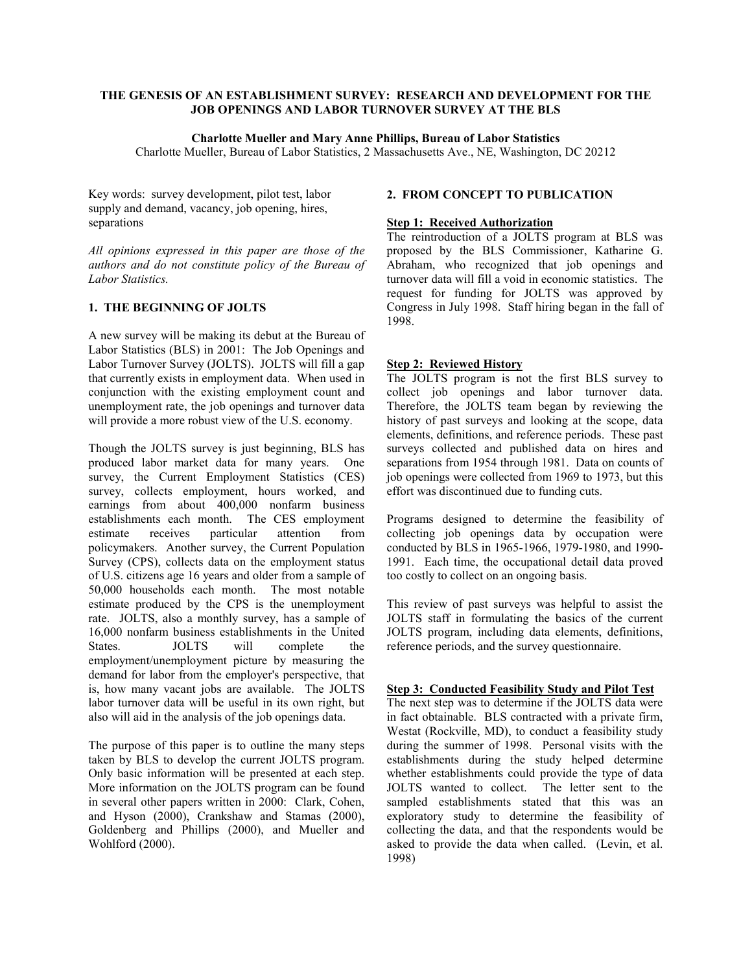## **THE GENESIS OF AN ESTABLISHMENT SURVEY: RESEARCH AND DEVELOPMENT FOR THE JOB OPENINGS AND LABOR TURNOVER SURVEY AT THE BLS**

### **Charlotte Mueller and Mary Anne Phillips, Bureau of Labor Statistics**

Charlotte Mueller, Bureau of Labor Statistics, 2 Massachusetts Ave., NE, Washington, DC 20212

Key words: survey development, pilot test, labor supply and demand, vacancy, job opening, hires, separations

*All opinions expressed in this paper are those of the authors and do not constitute policy of the Bureau of Labor Statistics.* 

## **1. THE BEGINNING OF JOLTS**

A new survey will be making its debut at the Bureau of Labor Statistics (BLS) in 2001: The Job Openings and Labor Turnover Survey (JOLTS). JOLTS will fill a gap that currently exists in employment data. When used in conjunction with the existing employment count and unemployment rate, the job openings and turnover data will provide a more robust view of the U.S. economy.

Though the JOLTS survey is just beginning, BLS has produced labor market data for many years. One survey, the Current Employment Statistics (CES) survey, collects employment, hours worked, and earnings from about 400,000 nonfarm business establishments each month. The CES employment estimate receives particular attention from policymakers. Another survey, the Current Population Survey (CPS), collects data on the employment status of U.S. citizens age 16 years and older from a sample of 50,000 households each month. The most notable estimate produced by the CPS is the unemployment rate. JOLTS, also a monthly survey, has a sample of 16,000 nonfarm business establishments in the United States. JOLTS will complete the employment/unemployment picture by measuring the demand for labor from the employer's perspective, that is, how many vacant jobs are available. The JOLTS labor turnover data will be useful in its own right, but also will aid in the analysis of the job openings data.

The purpose of this paper is to outline the many steps taken by BLS to develop the current JOLTS program. Only basic information will be presented at each step. More information on the JOLTS program can be found in several other papers written in 2000: Clark, Cohen, and Hyson (2000), Crankshaw and Stamas (2000), Goldenberg and Phillips (2000), and Mueller and Wohlford (2000).

#### **2. FROM CONCEPT TO PUBLICATION**

# **Step 1: Received Authorization**

The reintroduction of a JOLTS program at BLS was proposed by the BLS Commissioner, Katharine G. Abraham, who recognized that job openings and turnover data will fill a void in economic statistics. The request for funding for JOLTS was approved by Congress in July 1998. Staff hiring began in the fall of 1998.

### **Step 2: Reviewed History**

The JOLTS program is not the first BLS survey to collect job openings and labor turnover data. Therefore, the JOLTS team began by reviewing the history of past surveys and looking at the scope, data elements, definitions, and reference periods. These past surveys collected and published data on hires and separations from 1954 through 1981. Data on counts of job openings were collected from 1969 to 1973, but this effort was discontinued due to funding cuts.

Programs designed to determine the feasibility of collecting job openings data by occupation were conducted by BLS in 1965-1966, 1979-1980, and 1990- 1991. Each time, the occupational detail data proved too costly to collect on an ongoing basis.

This review of past surveys was helpful to assist the JOLTS staff in formulating the basics of the current JOLTS program, including data elements, definitions, reference periods, and the survey questionnaire.

#### **Step 3: Conducted Feasibility Study and Pilot Test**

The next step was to determine if the JOLTS data were in fact obtainable. BLS contracted with a private firm, Westat (Rockville, MD), to conduct a feasibility study during the summer of 1998. Personal visits with the establishments during the study helped determine whether establishments could provide the type of data JOLTS wanted to collect. The letter sent to the sampled establishments stated that this was an exploratory study to determine the feasibility of collecting the data, and that the respondents would be asked to provide the data when called. (Levin, et al. 1998)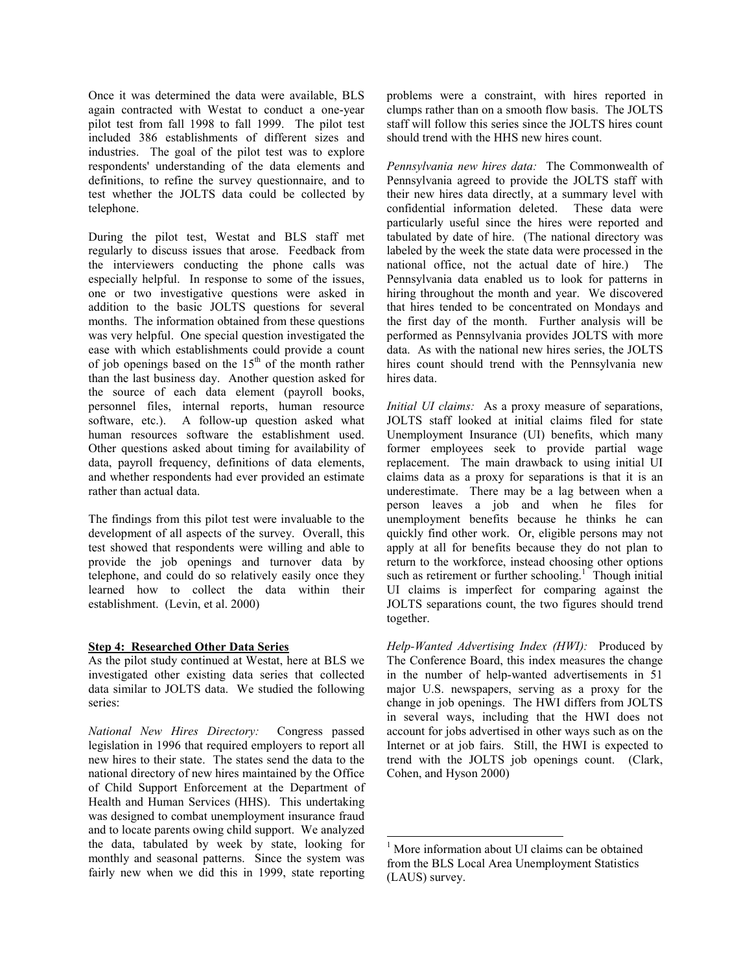Once it was determined the data were available, BLS again contracted with Westat to conduct a one-year pilot test from fall 1998 to fall 1999. The pilot test included 386 establishments of different sizes and industries. The goal of the pilot test was to explore respondents' understanding of the data elements and definitions, to refine the survey questionnaire, and to test whether the JOLTS data could be collected by telephone.

During the pilot test, Westat and BLS staff met regularly to discuss issues that arose. Feedback from the interviewers conducting the phone calls was especially helpful. In response to some of the issues, one or two investigative questions were asked in addition to the basic JOLTS questions for several months. The information obtained from these questions was very helpful. One special question investigated the ease with which establishments could provide a count of job openings based on the  $15<sup>th</sup>$  of the month rather than the last business day. Another question asked for the source of each data element (payroll books, personnel files, internal reports, human resource software, etc.). A follow-up question asked what human resources software the establishment used. Other questions asked about timing for availability of data, payroll frequency, definitions of data elements, and whether respondents had ever provided an estimate rather than actual data.

The findings from this pilot test were invaluable to the development of all aspects of the survey. Overall, this test showed that respondents were willing and able to provide the job openings and turnover data by telephone, and could do so relatively easily once they learned how to collect the data within their establishment. (Levin, et al. 2000)

# **Step 4: Researched Other Data Series**

As the pilot study continued at Westat, here at BLS we investigated other existing data series that collected data similar to JOLTS data. We studied the following series:

*National New Hires Directory:* Congress passed legislation in 1996 that required employers to report all new hires to their state. The states send the data to the national directory of new hires maintained by the Office of Child Support Enforcement at the Department of Health and Human Services (HHS). This undertaking was designed to combat unemployment insurance fraud and to locate parents owing child support. We analyzed the data, tabulated by week by state, looking for monthly and seasonal patterns. Since the system was fairly new when we did this in 1999, state reporting

problems were a constraint, with hires reported in clumps rather than on a smooth flow basis. The JOLTS staff will follow this series since the JOLTS hires count should trend with the HHS new hires count.

*Pennsylvania new hires data:* The Commonwealth of Pennsylvania agreed to provide the JOLTS staff with their new hires data directly, at a summary level with confidential information deleted. These data were particularly useful since the hires were reported and tabulated by date of hire. (The national directory was labeled by the week the state data were processed in the national office, not the actual date of hire.) The Pennsylvania data enabled us to look for patterns in hiring throughout the month and year. We discovered that hires tended to be concentrated on Mondays and the first day of the month. Further analysis will be performed as Pennsylvania provides JOLTS with more data. As with the national new hires series, the JOLTS hires count should trend with the Pennsylvania new hires data.

*Initial UI claims:* As a proxy measure of separations, JOLTS staff looked at initial claims filed for state Unemployment Insurance (UI) benefits, which many former employees seek to provide partial wage replacement. The main drawback to using initial UI claims data as a proxy for separations is that it is an underestimate. There may be a lag between when a person leaves a job and when he files for unemployment benefits because he thinks he can quickly find other work. Or, eligible persons may not apply at all for benefits because they do not plan to return to the workforce, instead choosing other options such as retirement or further schooling.<sup>1</sup> Though initial UI claims is imperfect for comparing against the JOLTS separations count, the two figures should trend together.

*Help-Wanted Advertising Index (HWI):* Produced by The Conference Board, this index measures the change in the number of help-wanted advertisements in 51 major U.S. newspapers, serving as a proxy for the change in job openings. The HWI differs from JOLTS in several ways, including that the HWI does not account for jobs advertised in other ways such as on the Internet or at job fairs. Still, the HWI is expected to trend with the JOLTS job openings count. (Clark, Cohen, and Hyson 2000)

1

<sup>&</sup>lt;sup>1</sup> More information about UI claims can be obtained from the BLS Local Area Unemployment Statistics (LAUS) survey.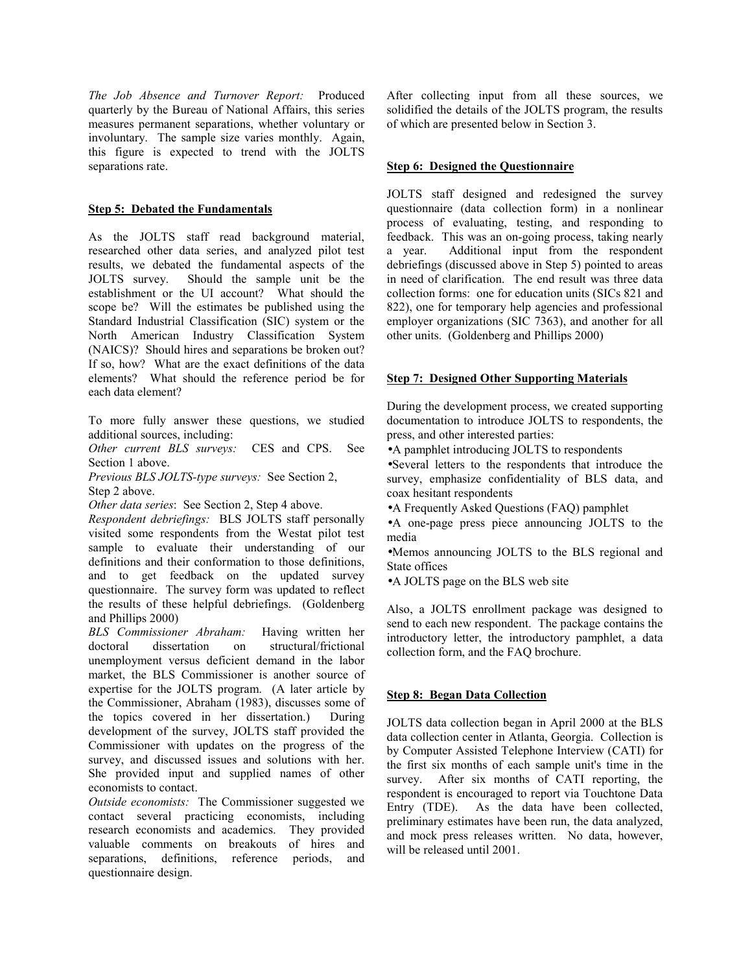*The Job Absence and Turnover Report:* Produced quarterly by the Bureau of National Affairs, this series measures permanent separations, whether voluntary or involuntary. The sample size varies monthly. Again, this figure is expected to trend with the JOLTS separations rate.

# **Step 5: Debated the Fundamentals**

As the JOLTS staff read background material, researched other data series, and analyzed pilot test results, we debated the fundamental aspects of the JOLTS survey. Should the sample unit be the establishment or the UI account? What should the scope be? Will the estimates be published using the Standard Industrial Classification (SIC) system or the North American Industry Classification System (NAICS)? Should hires and separations be broken out? If so, how? What are the exact definitions of the data elements? What should the reference period be for each data element?

To more fully answer these questions, we studied additional sources, including:

*Other current BLS surveys:* CES and CPS. See Section 1 above.

*Previous BLS JOLTS-type surveys:* See Section 2, Step 2 above.

*Other data series*: See Section 2, Step 4 above.

*Respondent debriefings:* BLS JOLTS staff personally visited some respondents from the Westat pilot test sample to evaluate their understanding of our definitions and their conformation to those definitions, and to get feedback on the updated survey questionnaire. The survey form was updated to reflect the results of these helpful debriefings. (Goldenberg and Phillips 2000)

*BLS Commissioner Abraham:* Having written her doctoral dissertation on structural/frictional unemployment versus deficient demand in the labor market, the BLS Commissioner is another source of expertise for the JOLTS program. (A later article by the Commissioner, Abraham (1983), discusses some of the topics covered in her dissertation.) During development of the survey, JOLTS staff provided the Commissioner with updates on the progress of the survey, and discussed issues and solutions with her. She provided input and supplied names of other economists to contact.

*Outside economists:* The Commissioner suggested we contact several practicing economists, including research economists and academics. They provided valuable comments on breakouts of hires and separations, definitions, reference periods, and questionnaire design.

After collecting input from all these sources, we solidified the details of the JOLTS program, the results of which are presented below in Section 3.

## **Step 6: Designed the Questionnaire**

JOLTS staff designed and redesigned the survey questionnaire (data collection form) in a nonlinear process of evaluating, testing, and responding to feedback. This was an on-going process, taking nearly a year. Additional input from the respondent debriefings (discussed above in Step 5) pointed to areas in need of clarification. The end result was three data collection forms: one for education units (SICs 821 and 822), one for temporary help agencies and professional employer organizations (SIC 7363), and another for all other units. (Goldenberg and Phillips 2000)

### **Step 7: Designed Other Supporting Materials**

During the development process, we created supporting documentation to introduce JOLTS to respondents, the press, and other interested parties:

- •A pamphlet introducing JOLTS to respondents
- •Several letters to the respondents that introduce the survey, emphasize confidentiality of BLS data, and coax hesitant respondents
- •A Frequently Asked Questions (FAQ) pamphlet

•A one-page press piece announcing JOLTS to the media

•Memos announcing JOLTS to the BLS regional and State offices

•A JOLTS page on the BLS web site

Also, a JOLTS enrollment package was designed to send to each new respondent. The package contains the introductory letter, the introductory pamphlet, a data collection form, and the FAQ brochure.

# **Step 8: Began Data Collection**

JOLTS data collection began in April 2000 at the BLS data collection center in Atlanta, Georgia. Collection is by Computer Assisted Telephone Interview (CATI) for the first six months of each sample unit's time in the survey. After six months of CATI reporting, the respondent is encouraged to report via Touchtone Data Entry (TDE). As the data have been collected, preliminary estimates have been run, the data analyzed, and mock press releases written. No data, however, will be released until 2001.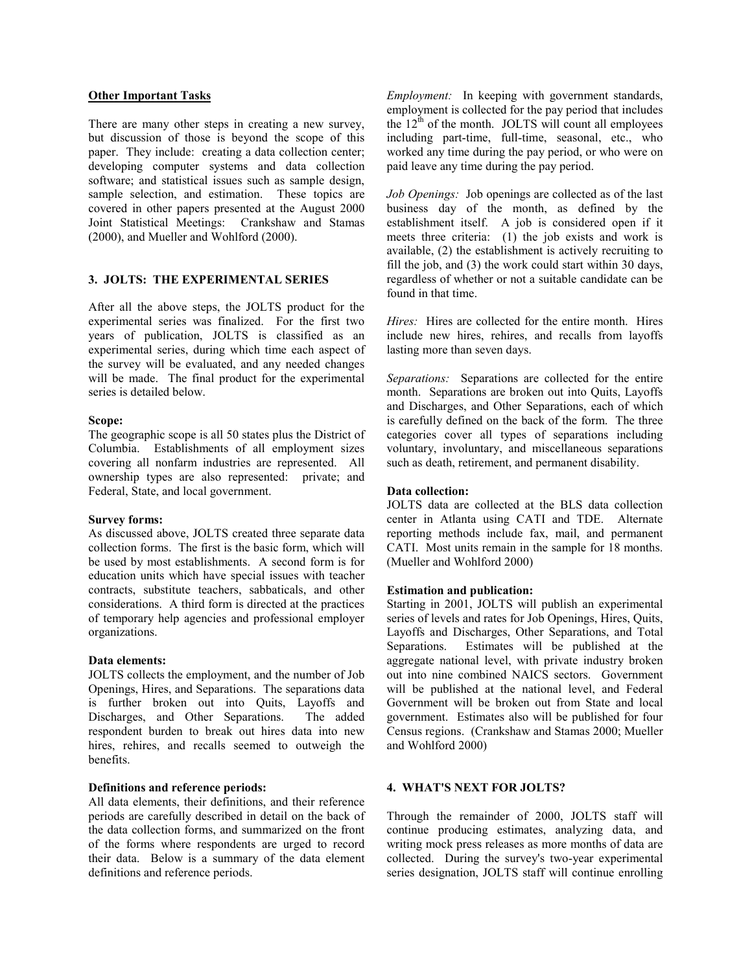## **Other Important Tasks**

There are many other steps in creating a new survey, but discussion of those is beyond the scope of this paper. They include: creating a data collection center; developing computer systems and data collection software; and statistical issues such as sample design, sample selection, and estimation. These topics are covered in other papers presented at the August 2000 Joint Statistical Meetings: Crankshaw and Stamas (2000), and Mueller and Wohlford (2000).

# **3. JOLTS: THE EXPERIMENTAL SERIES**

After all the above steps, the JOLTS product for the experimental series was finalized. For the first two years of publication, JOLTS is classified as an experimental series, during which time each aspect of the survey will be evaluated, and any needed changes will be made. The final product for the experimental series is detailed below.

#### **Scope:**

The geographic scope is all 50 states plus the District of Columbia. Establishments of all employment sizes covering all nonfarm industries are represented. All ownership types are also represented: private; and Federal, State, and local government.

#### **Survey forms:**

As discussed above, JOLTS created three separate data collection forms. The first is the basic form, which will be used by most establishments. A second form is for education units which have special issues with teacher contracts, substitute teachers, sabbaticals, and other considerations. A third form is directed at the practices of temporary help agencies and professional employer organizations.

#### **Data elements:**

JOLTS collects the employment, and the number of Job Openings, Hires, and Separations. The separations data is further broken out into Quits, Layoffs and Discharges, and Other Separations. The added respondent burden to break out hires data into new hires, rehires, and recalls seemed to outweigh the benefits.

#### **Definitions and reference periods:**

All data elements, their definitions, and their reference periods are carefully described in detail on the back of the data collection forms, and summarized on the front of the forms where respondents are urged to record their data. Below is a summary of the data element definitions and reference periods.

*Employment:* In keeping with government standards, employment is collected for the pay period that includes the  $12^{th}$  of the month. JOLTS will count all employees including part-time, full-time, seasonal, etc., who worked any time during the pay period, or who were on paid leave any time during the pay period.

*Job Openings:* Job openings are collected as of the last business day of the month, as defined by the establishment itself. A job is considered open if it meets three criteria: (1) the job exists and work is available, (2) the establishment is actively recruiting to fill the job, and (3) the work could start within 30 days, regardless of whether or not a suitable candidate can be found in that time.

*Hires:* Hires are collected for the entire month. Hires include new hires, rehires, and recalls from layoffs lasting more than seven days.

*Separations:* Separations are collected for the entire month. Separations are broken out into Quits, Layoffs and Discharges, and Other Separations, each of which is carefully defined on the back of the form. The three categories cover all types of separations including voluntary, involuntary, and miscellaneous separations such as death, retirement, and permanent disability.

### **Data collection:**

JOLTS data are collected at the BLS data collection center in Atlanta using CATI and TDE. Alternate reporting methods include fax, mail, and permanent CATI. Most units remain in the sample for 18 months. (Mueller and Wohlford 2000)

## **Estimation and publication:**

Starting in 2001, JOLTS will publish an experimental series of levels and rates for Job Openings, Hires, Quits, Layoffs and Discharges, Other Separations, and Total Separations. Estimates will be published at the aggregate national level, with private industry broken out into nine combined NAICS sectors. Government will be published at the national level, and Federal Government will be broken out from State and local government. Estimates also will be published for four Census regions. (Crankshaw and Stamas 2000; Mueller and Wohlford 2000)

#### **4. WHAT'S NEXT FOR JOLTS?**

Through the remainder of 2000, JOLTS staff will continue producing estimates, analyzing data, and writing mock press releases as more months of data are collected. During the survey's two-year experimental series designation, JOLTS staff will continue enrolling